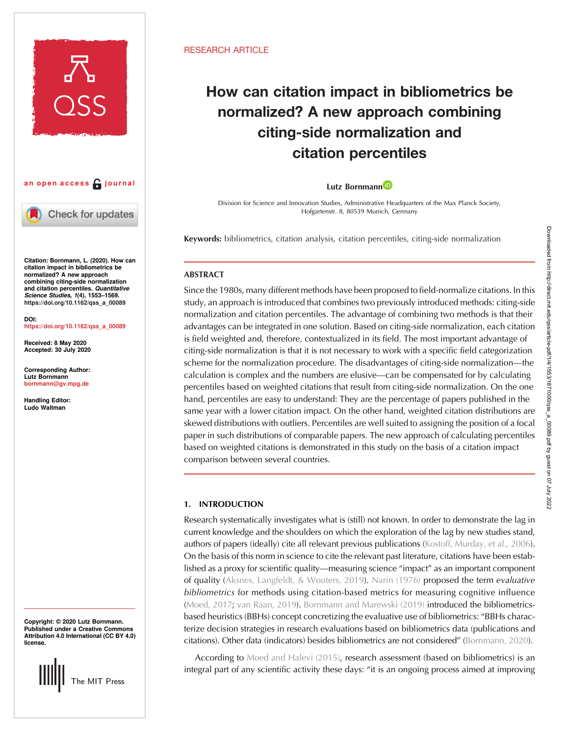



Check for updates

Citation: Bornmann, L. (2020). How can citation impact in bibliometrics be normalized? A new approach combining citing-side normalization and citation percentiles. Quantitative Science Studies, 1(4), 1553–1569. [https://doi.org/10.1162/qss\\_a\\_00089](https://doi.org/10.1162/qss_a_00089)

DOI: [https://doi.org/10.1162/qss\\_a\\_00089](https://doi.org/10.1162/qss_a_00089)

Received: 8 May 2020 Accepted: 30 July 2020

Corresponding Author: Lutz Bornmann [bornmann@gv.mpg.de](mailto:bornmann@gv.mpg.de)

Handling Editor: Ludo Waltman

Copyright: © 2020 Lutz Bornmann. Published under a Creative Commons Attribution 4.0 International (CC BY 4.0) license.



#### RESEARCH ARTICLE

# How can citation impact in bibliometrics be normalized? A new approach combining citing-side normalization and citation percentiles

#### Lutz Bornmann<sup>1D</sup>

Division for Science and Innovation Studies, Administrative Headquarters of the Max Planck Society, Hofgartenstr. 8, 80539 Munich, Germany

Keywords: bibliometrics, citation analysis, citation percentiles, citing-side normalization

# **ABSTRACT**

Since the 1980s, many different methods have been proposed to field-normalize citations. In this study, an approach is introduced that combines two previously introduced methods: citing-side normalization and citation percentiles. The advantage of combining two methods is that their advantages can be integrated in one solution. Based on citing-side normalization, each citation is field weighted and, therefore, contextualized in its field. The most important advantage of citing-side normalization is that it is not necessary to work with a specific field categorization scheme for the normalization procedure. The disadvantages of citing-side normalization—the calculation is complex and the numbers are elusive—can be compensated for by calculating percentiles based on weighted citations that result from citing-side normalization. On the one hand, percentiles are easy to understand: They are the percentage of papers published in the same year with a lower citation impact. On the other hand, weighted citation distributions are skewed distributions with outliers. Percentiles are well suited to assigning the position of a focal paper in such distributions of comparable papers. The new approach of calculating percentiles based on weighted citations is demonstrated in this study on the basis of a citation impact comparison between several countries.

# 1. INTRODUCTION

Research systematically investigates what is (still) not known. In order to demonstrate the lag in current knowledge and the shoulders on which the exploration of the lag by new studies stand, authors of papers (ideally) cite all relevant previous publications [\(Kostoff, Murday, et al., 2006\)](#page-14-0). On the basis of this norm in science to cite the relevant past literature, citations have been established as a proxy for scientific quality—measuring science "impact" as an important component of quality ([Aksnes, Langfeldt, & Wouters, 2019\)](#page-13-0). [Narin \(1976\)](#page-15-0) proposed the term evaluative bibliometrics for methods using citation-based metrics for measuring cognitive influence (Moed, 2017, [van Raan, 2019](#page-15-0)). [Bornmann and Marewski \(2019\)](#page-13-0) introduced the bibliometricsbased heuristics (BBHs) concept concretizing the evaluative use of bibliometrics: "BBHs characterize decision strategies in research evaluations based on bibliometrics data (publications and citations). Other data (indicators) besides bibliometrics are not considered" ([Bornmann, 2020\)](#page-13-0).

According to [Moed and Halevi \(2015\),](#page-15-0) research assessment (based on bibliometrics) is an integral part of any scientific activity these days: "it is an ongoing process aimed at improving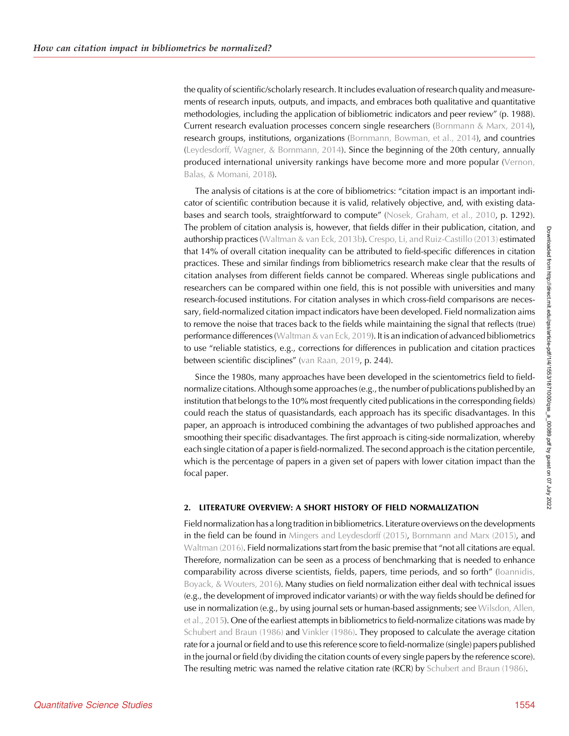the quality of scientific/scholarly research. It includes evaluation of research quality and measurements of research inputs, outputs, and impacts, and embraces both qualitative and quantitative methodologies, including the application of bibliometric indicators and peer review" (p. 1988). Current research evaluation processes concern single researchers ([Bornmann & Marx, 2014\)](#page-13-0), research groups, institutions, organizations ([Bornmann, Bowman, et al., 2014\)](#page-13-0), and countries ([Leydesdorff, Wagner, & Bornmann, 2014](#page-14-0)). Since the beginning of the 20th century, annually produced international university rankings have become more and more popular ([Vernon,](#page-15-0) [Balas, & Momani, 2018\)](#page-15-0).

The analysis of citations is at the core of bibliometrics: "citation impact is an important indicator of scientific contribution because it is valid, relatively objective, and, with existing data-bases and search tools, straightforward to compute" [\(Nosek, Graham, et al., 2010](#page-15-0), p. 1292). The problem of citation analysis is, however, that fields differ in their publication, citation, and authorship practices [\(Waltman & van Eck, 2013b\)](#page-15-0). [Crespo, Li, and Ruiz-Castillo \(2013\)](#page-14-0) estimated that 14% of overall citation inequality can be attributed to field-specific differences in citation practices. These and similar findings from bibliometrics research make clear that the results of citation analyses from different fields cannot be compared. Whereas single publications and researchers can be compared within one field, this is not possible with universities and many research-focused institutions. For citation analyses in which cross-field comparisons are necessary, field-normalized citation impact indicators have been developed. Field normalization aims to remove the noise that traces back to the fields while maintaining the signal that reflects (true) performance differences ([Waltman & van Eck, 2019\)](#page-15-0). It is an indication of advanced bibliometrics to use "reliable statistics, e.g., corrections for differences in publication and citation practices between scientific disciplines" [\(van Raan, 2019](#page-15-0), p. 244).

Since the 1980s, many approaches have been developed in the scientometrics field to fieldnormalize citations. Although some approaches (e.g., the number of publications published by an institution that belongs to the 10% most frequently cited publications in the corresponding fields) could reach the status of quasistandards, each approach has its specific disadvantages. In this paper, an approach is introduced combining the advantages of two published approaches and smoothing their specific disadvantages. The first approach is citing-side normalization, whereby each single citation of a paper is field-normalized. The second approach is the citation percentile, which is the percentage of papers in a given set of papers with lower citation impact than the focal paper.

## 2. LITERATURE OVERVIEW: A SHORT HISTORY OF FIELD NORMALIZATION

Field normalization has a long tradition in bibliometrics. Literature overviews on the developments in the field can be found in [Mingers and Leydesdorff \(2015\)](#page-15-0), [Bornmann and Marx \(2015\)](#page-13-0), and [Waltman \(2016\).](#page-15-0) Field normalizations start from the basic premise that "not all citations are equal. Therefore, normalization can be seen as a process of benchmarking that is needed to enhance comparability across diverse scientists, fields, papers, time periods, and so forth" ([Ioannidis,](#page-14-0) [Boyack, & Wouters, 2016\)](#page-14-0). Many studies on field normalization either deal with technical issues (e.g., the development of improved indicator variants) or with the way fields should be defined for use in normalization (e.g., by using journal sets or human-based assignments; see [Wilsdon, Allen,](#page-16-0) [et al., 2015](#page-16-0)). One of the earliest attempts in bibliometrics to field-normalize citations was made by [Schubert and Braun \(1986\)](#page-15-0) and [Vinkler \(1986\).](#page-15-0) They proposed to calculate the average citation rate for a journal or field and to use this reference score to field-normalize (single) papers published in the journal or field (by dividing the citation counts of every single papers by the reference score). The resulting metric was named the relative citation rate (RCR) by [Schubert and Braun \(1986\).](#page-15-0)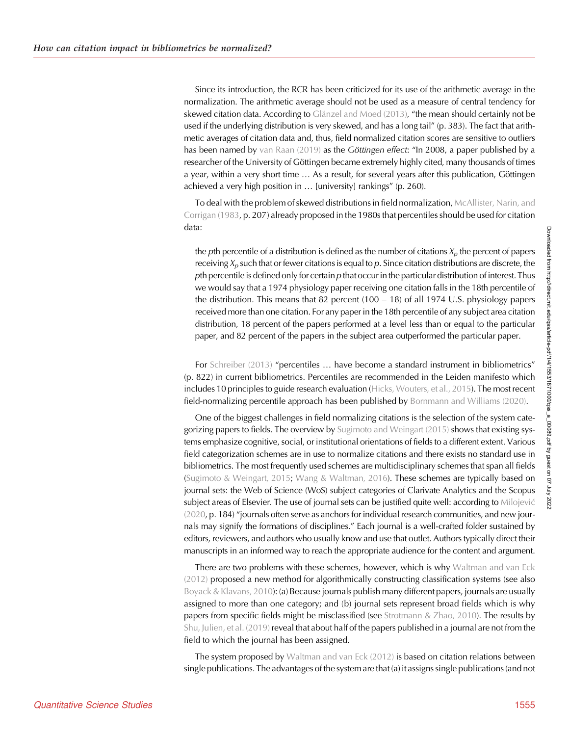Since its introduction, the RCR has been criticized for its use of the arithmetic average in the normalization. The arithmetic average should not be used as a measure of central tendency for skewed citation data. According to [Glänzel and Moed \(2013\)](#page-14-0), "the mean should certainly not be used if the underlying distribution is very skewed, and has a long tail" (p. 383). The fact that arithmetic averages of citation data and, thus, field normalized citation scores are sensitive to outliers has been named by [van Raan \(2019\)](#page-15-0) as the Göttingen effect: "In 2008, a paper published by a researcher of the University of Göttingen became extremely highly cited, many thousands of times a year, within a very short time … As a result, for several years after this publication, Göttingen achieved a very high position in … [university] rankings" (p. 260).

To deal with the problem of skewed distributions in field normalization, [McAllister, Narin, and](#page-14-0) [Corrigan \(1983,](#page-14-0) p. 207) already proposed in the 1980s that percentiles should be used for citation data:

the pth percentile of a distribution is defined as the number of citations  $X_p$  the percent of papers receiving  $X_p$  such that or fewer citations is equal to p. Since citation distributions are discrete, the pth percentile is defined only for certain  $p$  that occur in the particular distribution of interest. Thus we would say that a 1974 physiology paper receiving one citation falls in the 18th percentile of the distribution. This means that 82 percent  $(100 - 18)$  of all 1974 U.S. physiology papers received more than one citation. For any paper in the 18th percentile of any subject area citation distribution, 18 percent of the papers performed at a level less than or equal to the particular paper, and 82 percent of the papers in the subject area outperformed the particular paper.

For [Schreiber \(2013\)](#page-15-0) "percentiles … have become a standard instrument in bibliometrics" (p. 822) in current bibliometrics. Percentiles are recommended in the Leiden manifesto which includes 10 principles to guide research evaluation ([Hicks, Wouters, et al., 2015](#page-14-0)). The most recent field-normalizing percentile approach has been published by [Bornmann and Williams \(2020\)](#page-14-0).

One of the biggest challenges in field normalizing citations is the selection of the system categorizing papers to fields. The overview by [Sugimoto and Weingart \(2015\)](#page-15-0) shows that existing systems emphasize cognitive, social, or institutional orientations of fields to a different extent. Various field categorization schemes are in use to normalize citations and there exists no standard use in bibliometrics. The most frequently used schemes are multidisciplinary schemes that span all fields [\(Sugimoto & Weingart, 2015;](#page-15-0) [Wang & Waltman, 2016](#page-16-0)). These schemes are typically based on journal sets: the Web of Science (WoS) subject categories of Clarivate Analytics and the Scopus subject areas of Elsevier. The use of journal sets can be justified quite well: according to [Milojevic](#page-14-0) [\(2020,](#page-14-0) p. 184) "journals often serve as anchors for individual research communities, and new journals may signify the formations of disciplines." Each journal is a well-crafted folder sustained by editors, reviewers, and authors who usually know and use that outlet. Authors typically direct their manuscripts in an informed way to reach the appropriate audience for the content and argument.

There are two problems with these schemes, however, which is why [Waltman and van Eck](#page-15-0) [\(2012\)](#page-15-0) proposed a new method for algorithmically constructing classification systems (see also [Boyack & Klavans, 2010\)](#page-14-0): (a) Because journals publish many different papers, journals are usually assigned to more than one category; and (b) journal sets represent broad fields which is why papers from specific fields might be misclassified (see [Strotmann & Zhao, 2010](#page-15-0)). The results by [Shu, Julien, et al. \(2019\)](#page-15-0) reveal that about half of the papers published in a journal are not from the field to which the journal has been assigned.

The system proposed by [Waltman and van Eck \(2012\)](#page-15-0) is based on citation relations between single publications. The advantages of the system are that (a) it assigns single publications (and not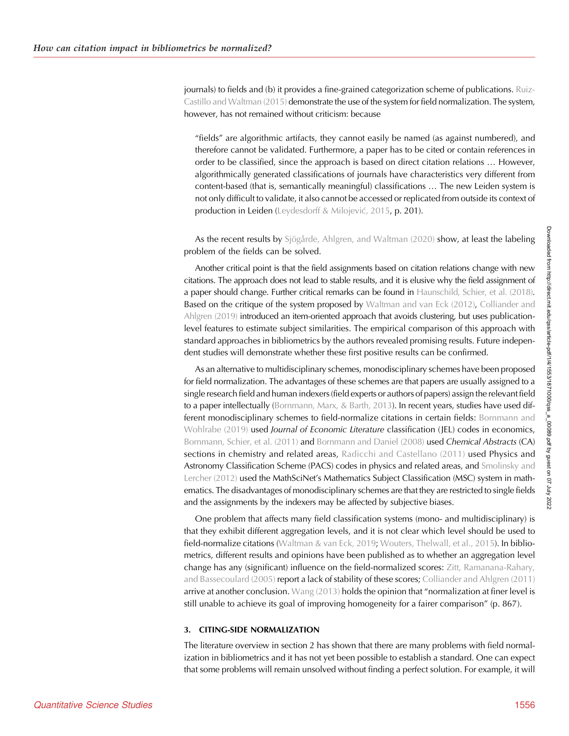journals) to fields and (b) it provides a fine-grained categorization scheme of publications. [Ruiz-](#page-15-0)[Castillo and Waltman \(2015\)](#page-15-0) demonstrate the use of the system for field normalization. The system, however, has not remained without criticism: because

"fields" are algorithmic artifacts, they cannot easily be named (as against numbered), and therefore cannot be validated. Furthermore, a paper has to be cited or contain references in order to be classified, since the approach is based on direct citation relations … However, algorithmically generated classifications of journals have characteristics very different from content-based (that is, semantically meaningful) classifications … The new Leiden system is not only difficult to validate, it also cannot be accessed or replicated from outside its context of production in Leiden (Leydesdorff & Milojević[, 2015,](#page-14-0) p. 201).

As the recent results by [Sjögårde, Ahlgren, and Waltman \(2020\)](#page-15-0) show, at least the labeling problem of the fields can be solved.

Another critical point is that the field assignments based on citation relations change with new citations. The approach does not lead to stable results, and it is elusive why the field assignment of a paper should change. Further critical remarks can be found in [Haunschild, Schier, et al. \(2018\)](#page-14-0). Based on the critique of the system proposed by [Waltman and van Eck \(2012\)](#page-15-0), [Colliander and](#page-14-0) [Ahlgren \(2019\)](#page-14-0) introduced an item-oriented approach that avoids clustering, but uses publicationlevel features to estimate subject similarities. The empirical comparison of this approach with standard approaches in bibliometrics by the authors revealed promising results. Future independent studies will demonstrate whether these first positive results can be confirmed.

As an alternative to multidisciplinary schemes, monodisciplinary schemes have been proposed for field normalization. The advantages of these schemes are that papers are usually assigned to a single research field and human indexers (field experts or authors of papers) assign the relevant field to a paper intellectually [\(Bornmann, Marx, & Barth, 2013](#page-13-0)). In recent years, studies have used dif-ferent monodisciplinary schemes to field-normalize citations in certain fields: [Bornmann and](#page-14-0) [Wohlrabe \(2019\)](#page-14-0) used *Journal of Economic Literature classification* (JEL) codes in economics, [Bornmann, Schier, et al. \(2011\)](#page-14-0) and [Bornmann and Daniel \(2008\)](#page-13-0) used Chemical Abstracts (CA) sections in chemistry and related areas, [Radicchi and Castellano \(2011\)](#page-15-0) used Physics and Astronomy Classification Scheme (PACS) codes in physics and related areas, and [Smolinsky and](#page-15-0) [Lercher \(2012\)](#page-15-0) used the MathSciNet's Mathematics Subject Classification (MSC) system in mathematics. The disadvantages of monodisciplinary schemes are that they are restricted to single fields and the assignments by the indexers may be affected by subjective biases.

One problem that affects many field classification systems (mono- and multidisciplinary) is that they exhibit different aggregation levels, and it is not clear which level should be used to field-normalize citations ([Waltman & van Eck, 2019;](#page-15-0) [Wouters, Thelwall, et al., 2015](#page-16-0)). In bibliometrics, different results and opinions have been published as to whether an aggregation level change has any (significant) influence on the field-normalized scores: [Zitt, Ramanana-Rahary,](#page-16-0) [and Bassecoulard \(2005\)](#page-16-0) report a lack of stability of these scores; [Colliander and Ahlgren \(2011\)](#page-14-0) arrive at another conclusion. [Wang \(2013\)](#page-16-0) holds the opinion that "normalization at finer level is still unable to achieve its goal of improving homogeneity for a fairer comparison" (p. 867).

#### 3. CITING-SIDE NORMALIZATION

The literature overview in section 2 has shown that there are many problems with field normalization in bibliometrics and it has not yet been possible to establish a standard. One can expect that some problems will remain unsolved without finding a perfect solution. For example, it will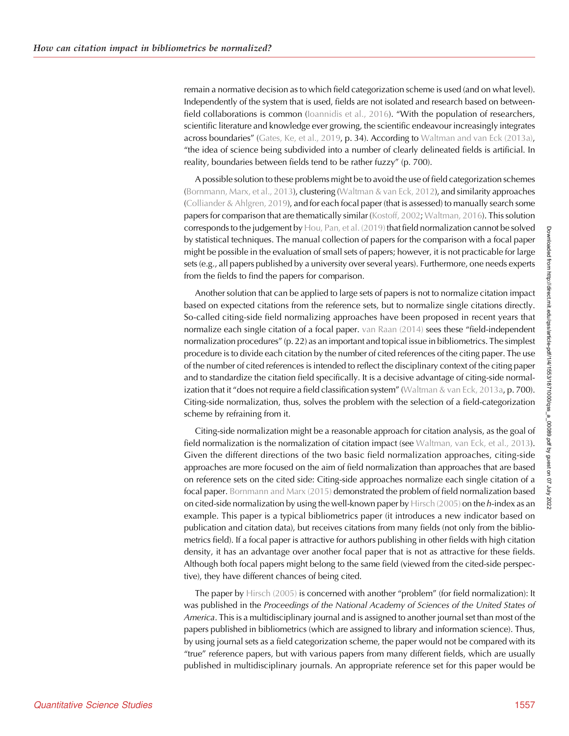remain a normative decision as to which field categorization scheme is used (and on what level). Independently of the system that is used, fields are not isolated and research based on betweenfield collaborations is common (loannidis et al., 2016). "With the population of researchers, scientific literature and knowledge ever growing, the scientific endeavour increasingly integrates across boundaries" ([Gates, Ke, et al., 2019](#page-14-0), p. 34). According to [Waltman and van Eck \(2013a\)](#page-15-0), "the idea of science being subdivided into a number of clearly delineated fields is artificial. In reality, boundaries between fields tend to be rather fuzzy" (p. 700).

A possible solution to these problems might be to avoid the use of field categorization schemes ([Bornmann, Marx, et al., 2013\)](#page-13-0), clustering [\(Waltman & van Eck, 2012](#page-15-0)), and similarity approaches ([Colliander & Ahlgren, 2019](#page-14-0)), and for each focal paper (that is assessed) to manually search some papers for comparison that are thematically similar [\(Kostoff, 2002;](#page-14-0) [Waltman, 2016\)](#page-15-0). This solution corresponds to the judgement by [Hou, Pan, et al. \(2019\)](#page-14-0) that field normalization cannot be solved by statistical techniques. The manual collection of papers for the comparison with a focal paper might be possible in the evaluation of small sets of papers; however, it is not practicable for large sets (e.g., all papers published by a university over several years). Furthermore, one needs experts from the fields to find the papers for comparison.

Another solution that can be applied to large sets of papers is not to normalize citation impact based on expected citations from the reference sets, but to normalize single citations directly. So-called citing-side field normalizing approaches have been proposed in recent years that normalize each single citation of a focal paper. [van Raan \(2014\)](#page-15-0) sees these "field-independent normalization procedures" (p. 22) as an important and topical issue in bibliometrics. The simplest procedure is to divide each citation by the number of cited references of the citing paper. The use of the number of cited references is intended to reflect the disciplinary context of the citing paper and to standardize the citation field specifically. It is a decisive advantage of citing-side normal-ization that it "does not require a field classification system" [\(Waltman & van Eck, 2013a,](#page-15-0) p. 700). Citing-side normalization, thus, solves the problem with the selection of a field-categorization scheme by refraining from it.

Citing-side normalization might be a reasonable approach for citation analysis, as the goal of field normalization is the normalization of citation impact (see [Waltman, van Eck, et al., 2013\)](#page-15-0). Given the different directions of the two basic field normalization approaches, citing-side approaches are more focused on the aim of field normalization than approaches that are based on reference sets on the cited side: Citing-side approaches normalize each single citation of a focal paper. [Bornmann and Marx \(2015\)](#page-13-0) demonstrated the problem of field normalization based on cited-side normalization by using the well-known paper by Hirsch  $(2005)$  on the h-index as an example. This paper is a typical bibliometrics paper (it introduces a new indicator based on publication and citation data), but receives citations from many fields (not only from the bibliometrics field). If a focal paper is attractive for authors publishing in other fields with high citation density, it has an advantage over another focal paper that is not as attractive for these fields. Although both focal papers might belong to the same field (viewed from the cited-side perspective), they have different chances of being cited.

The paper by [Hirsch \(2005\)](#page-14-0) is concerned with another "problem" (for field normalization): It was published in the Proceedings of the National Academy of Sciences of the United States of America. This is a multidisciplinary journal and is assigned to another journal set than most of the papers published in bibliometrics (which are assigned to library and information science). Thus, by using journal sets as a field categorization scheme, the paper would not be compared with its "true" reference papers, but with various papers from many different fields, which are usually published in multidisciplinary journals. An appropriate reference set for this paper would be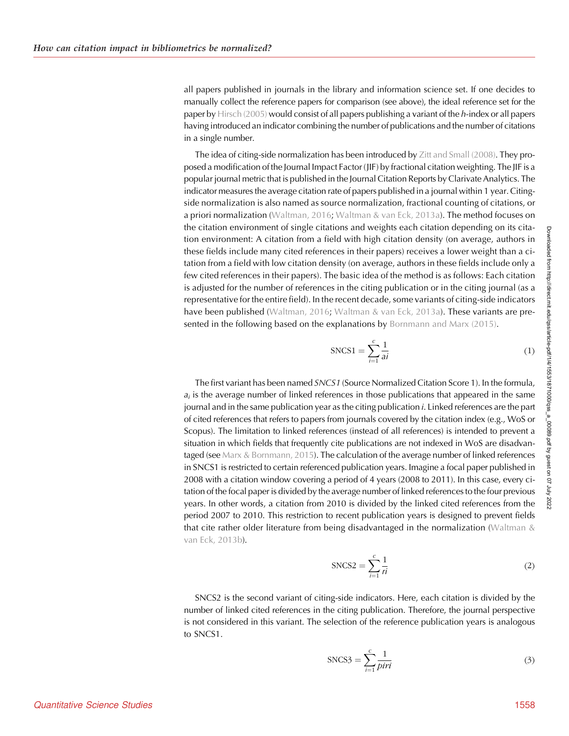all papers published in journals in the library and information science set. If one decides to manually collect the reference papers for comparison (see above), the ideal reference set for the paper by [Hirsch \(2005\)](#page-14-0) would consist of all papers publishing a variant of the  $h$ -index or all papers having introduced an indicator combining the number of publications and the number of citations in a single number.

The idea of citing-side normalization has been introduced by [Zitt and Small \(2008\)](#page-16-0). They proposed a modification of the Journal Impact Factor (JIF) by fractional citation weighting. The JIF is a popular journal metric that is published in the Journal Citation Reports by Clarivate Analytics. The indicator measures the average citation rate of papers published in a journal within 1 year. Citingside normalization is also named as source normalization, fractional counting of citations, or a priori normalization [\(Waltman, 2016;](#page-15-0) [Waltman & van Eck, 2013a\)](#page-15-0). The method focuses on the citation environment of single citations and weights each citation depending on its citation environment: A citation from a field with high citation density (on average, authors in these fields include many cited references in their papers) receives a lower weight than a citation from a field with low citation density (on average, authors in these fields include only a few cited references in their papers). The basic idea of the method is as follows: Each citation is adjusted for the number of references in the citing publication or in the citing journal (as a representative for the entire field). In the recent decade, some variants of citing-side indicators have been published ([Waltman, 2016;](#page-15-0) [Waltman & van Eck, 2013a](#page-15-0)). These variants are pre-sented in the following based on the explanations by [Bornmann and Marx \(2015\)](#page-13-0).

$$
SNCS1 = \sum_{i=1}^{c} \frac{1}{ai}
$$
 (1)

The first variant has been named SNCS1 (Source Normalized Citation Score 1). In the formula,  $a_i$  is the average number of linked references in those publications that appeared in the same journal and in the same publication year as the citing publication i. Linked references are the part of cited references that refers to papers from journals covered by the citation index (e.g., WoS or Scopus). The limitation to linked references (instead of all references) is intended to prevent a situation in which fields that frequently cite publications are not indexed in WoS are disadvan-taged (see [Marx & Bornmann, 2015\)](#page-14-0). The calculation of the average number of linked references in SNCS1 is restricted to certain referenced publication years. Imagine a focal paper published in 2008 with a citation window covering a period of 4 years (2008 to 2011). In this case, every citation of the focal paper is divided by the average number of linked references to the four previous years. In other words, a citation from 2010 is divided by the linked cited references from the period 2007 to 2010. This restriction to recent publication years is designed to prevent fields that cite rather older literature from being disadvantaged in the normalization [\(Waltman &](#page-15-0) [van Eck, 2013b\)](#page-15-0).

$$
SNCS2 = \sum_{i=1}^{c} \frac{1}{ri}
$$
 (2)

SNCS2 is the second variant of citing-side indicators. Here, each citation is divided by the number of linked cited references in the citing publication. Therefore, the journal perspective is not considered in this variant. The selection of the reference publication years is analogous to SNCS1.

$$
SNCS3 = \sum_{i=1}^{c} \frac{1}{piri}
$$
 (3)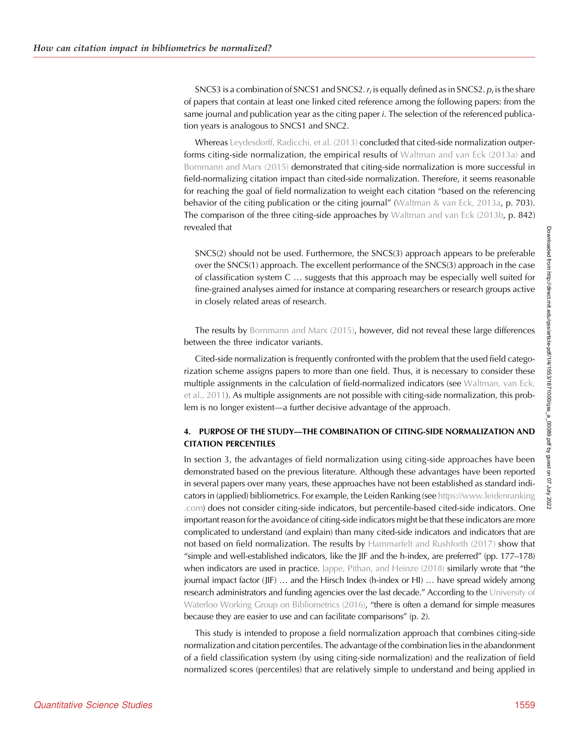SNCS3 is a combination of SNCS1 and SNCS2.  $r_i$  is equally defined as in SNCS2.  $p_i$  is the share of papers that contain at least one linked cited reference among the following papers: from the same journal and publication year as the citing paper *i*. The selection of the referenced publication years is analogous to SNCS1 and SNC2.

Whereas [Leydesdorff, Radicchi, et al. \(2013\)](#page-14-0) concluded that cited-side normalization outperforms citing-side normalization, the empirical results of [Waltman and van Eck \(2013a\)](#page-15-0) and [Bornmann and Marx \(2015\)](#page-13-0) demonstrated that citing-side normalization is more successful in field-normalizing citation impact than cited-side normalization. Therefore, it seems reasonable for reaching the goal of field normalization to weight each citation "based on the referencing behavior of the citing publication or the citing journal" ([Waltman & van Eck, 2013a](#page-15-0), p. 703). The comparison of the three citing-side approaches by [Waltman and van Eck \(2013b,](#page-15-0) p. 842) revealed that

SNCS(2) should not be used. Furthermore, the SNCS(3) approach appears to be preferable over the SNCS(1) approach. The excellent performance of the SNCS(3) approach in the case of classification system C … suggests that this approach may be especially well suited for fine-grained analyses aimed for instance at comparing researchers or research groups active in closely related areas of research.

The results by [Bornmann and Marx \(2015\)](#page-13-0), however, did not reveal these large differences between the three indicator variants.

Cited-side normalization is frequently confronted with the problem that the used field categorization scheme assigns papers to more than one field. Thus, it is necessary to consider these multiple assignments in the calculation of field-normalized indicators (see [Waltman, van Eck,](#page-15-0) [et al., 2011](#page-15-0)). As multiple assignments are not possible with citing-side normalization, this problem is no longer existent—a further decisive advantage of the approach.

# 4. PURPOSE OF THE STUDY—THE COMBINATION OF CITING-SIDE NORMALIZATION AND CITATION PERCENTILES

In section 3, the advantages of field normalization using citing-side approaches have been demonstrated based on the previous literature. Although these advantages have been reported in several papers over many years, these approaches have not been established as standard indicators in (applied) bibliometrics. For example, the Leiden Ranking (see [https://www.leidenranking](https://www.leidenranking.com) [.com](https://www.leidenranking.com)) does not consider citing-side indicators, but percentile-based cited-side indicators. One important reason for the avoidance of citing-side indicators might be that these indicators are more complicated to understand (and explain) than many cited-side indicators and indicators that are not based on field normalization. The results by [Hammarfelt and Rushforth \(2017\)](#page-14-0) show that "simple and well-established indicators, like the JIF and the h-index, are preferred" (pp. 177–178) when indicators are used in practice. [Jappe, Pithan, and Heinze \(2018\)](#page-14-0) similarly wrote that "the journal impact factor (JIF) … and the Hirsch Index (h-index or HI) … have spread widely among research administrators and funding agencies over the last decade." According to the [University of](#page-15-0) [Waterloo Working Group on Bibliometrics \(2016\)](#page-15-0), "there is often a demand for simple measures because they are easier to use and can facilitate comparisons" (p. 2).

This study is intended to propose a field normalization approach that combines citing-side normalization and citation percentiles. The advantage of the combination lies in the abandonment of a field classification system (by using citing-side normalization) and the realization of field normalized scores (percentiles) that are relatively simple to understand and being applied in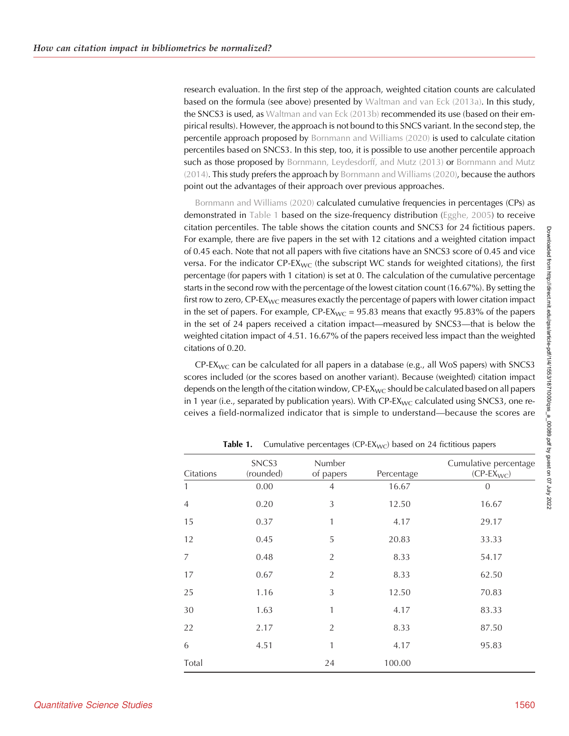research evaluation. In the first step of the approach, weighted citation counts are calculated based on the formula (see above) presented by [Waltman and van Eck \(2013a\)](#page-15-0). In this study, the SNCS3 is used, as [Waltman and van Eck \(2013b\)](#page-15-0) recommended its use (based on their empirical results). However, the approach is not bound to this SNCS variant. In the second step, the percentile approach proposed by [Bornmann and Williams \(2020\)](#page-14-0) is used to calculate citation percentiles based on SNCS3. In this step, too, it is possible to use another percentile approach such as those proposed by [Bornmann, Leydesdorff, and Mutz \(2013\)](#page-13-0) or [Bornmann and Mutz](#page-13-0) [\(2014\)](#page-13-0). This study prefers the approach by [Bornmann and Williams \(2020\)](#page-14-0), because the authors point out the advantages of their approach over previous approaches.

[Bornmann and Williams \(2020\)](#page-14-0) calculated cumulative frequencies in percentages (CPs) as demonstrated in Table 1 based on the size-frequency distribution ([Egghe, 2005](#page-14-0)) to receive citation percentiles. The table shows the citation counts and SNCS3 for 24 fictitious papers. For example, there are five papers in the set with 12 citations and a weighted citation impact of 0.45 each. Note that not all papers with five citations have an SNCS3 score of 0.45 and vice versa. For the indicator  $CP$ -EX<sub>WC</sub> (the subscript WC stands for weighted citations), the first percentage (for papers with 1 citation) is set at 0. The calculation of the cumulative percentage starts in the second row with the percentage of the lowest citation count (16.67%). By setting the first row to zero,  $\text{CP-}\text{EX}_{\text{WC}}$  measures exactly the percentage of papers with lower citation impact in the set of papers. For example,  $CP\text{-}EX_{\text{WC}} = 95.83$  means that exactly 95.83% of the papers in the set of 24 papers received a citation impact—measured by SNCS3—that is below the weighted citation impact of 4.51. 16.67% of the papers received less impact than the weighted citations of 0.20.

CP-EX<sub>WC</sub> can be calculated for all papers in a database (e.g., all WoS papers) with SNCS3 scores included (or the scores based on another variant). Because (weighted) citation impact depends on the length of the citation window,  $CP$ -E $X_{WC}$  should be calculated based on all papers in 1 year (i.e., separated by publication years). With  $CP\text{-}EX_{WC}$  calculated using SNCS3, one receives a field-normalized indicator that is simple to understand—because the scores are

| Citations      | SNCS3<br>(rounded) | Number<br>of papers | Percentage | Cumulative percentage<br>$(CP-EX_{WC})$ |
|----------------|--------------------|---------------------|------------|-----------------------------------------|
| 1              | 0.00               | 4                   | 16.67      | 0                                       |
| $\overline{4}$ | 0.20               | 3                   | 12.50      | 16.67                                   |
| 15             | 0.37               | 1                   | 4.17       | 29.17                                   |
| 12             | 0.45               | 5                   | 20.83      | 33.33                                   |
| 7              | 0.48               | $\overline{2}$      | 8.33       | 54.17                                   |
| 17             | 0.67               | $\overline{2}$      | 8.33       | 62.50                                   |
| 25             | 1.16               | 3                   | 12.50      | 70.83                                   |
| 30             | 1.63               | 1                   | 4.17       | 83.33                                   |
| 22             | 2.17               | $\overline{2}$      | 8.33       | 87.50                                   |
| 6              | 4.51               | 1                   | 4.17       | 95.83                                   |
| Total          |                    | 24                  | 100.00     |                                         |

**Table 1.** Cumulative percentages (CP-EX<sub>WC</sub>) based on 24 fictitious papers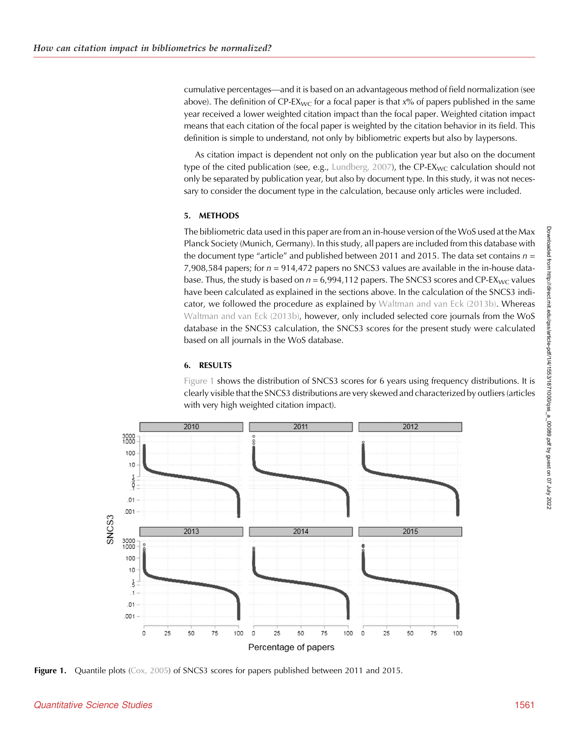<span id="page-8-0"></span>cumulative percentages—and it is based on an advantageous method of field normalization (see above). The definition of CP-EX<sub>WC</sub> for a focal paper is that  $x\%$  of papers published in the same year received a lower weighted citation impact than the focal paper. Weighted citation impact means that each citation of the focal paper is weighted by the citation behavior in its field. This definition is simple to understand, not only by bibliometric experts but also by laypersons.

As citation impact is dependent not only on the publication year but also on the document type of the cited publication (see, e.g., [Lundberg, 2007\)](#page-14-0), the CP-EX<sub>WC</sub> calculation should not only be separated by publication year, but also by document type. In this study, it was not necessary to consider the document type in the calculation, because only articles were included.

## 5. METHODS

The bibliometric data used in this paper are from an in-house version of the WoS used at the Max Planck Society (Munich, Germany). In this study, all papers are included from this database with the document type "article" and published between 2011 and 2015. The data set contains  $n =$ 7,908,584 papers; for  $n = 914,472$  papers no SNCS3 values are available in the in-house database. Thus, the study is based on  $n = 6.994,112$  papers. The SNCS3 scores and CP-EX<sub>WC</sub> values have been calculated as explained in the sections above. In the calculation of the SNCS3 indicator, we followed the procedure as explained by [Waltman and van Eck \(2013b\)](#page-15-0). Whereas [Waltman and van Eck \(2013b\)](#page-15-0), however, only included selected core journals from the WoS database in the SNCS3 calculation, the SNCS3 scores for the present study were calculated based on all journals in the WoS database.

# 6. RESULTS

Figure 1 shows the distribution of SNCS3 scores for 6 years using frequency distributions. It is clearly visible that the SNCS3 distributions are very skewed and characterized by outliers (articles with very high weighted citation impact).



Figure 1. Quantile plots ([Cox, 2005](#page-14-0)) of SNCS3 scores for papers published between 2011 and 2015.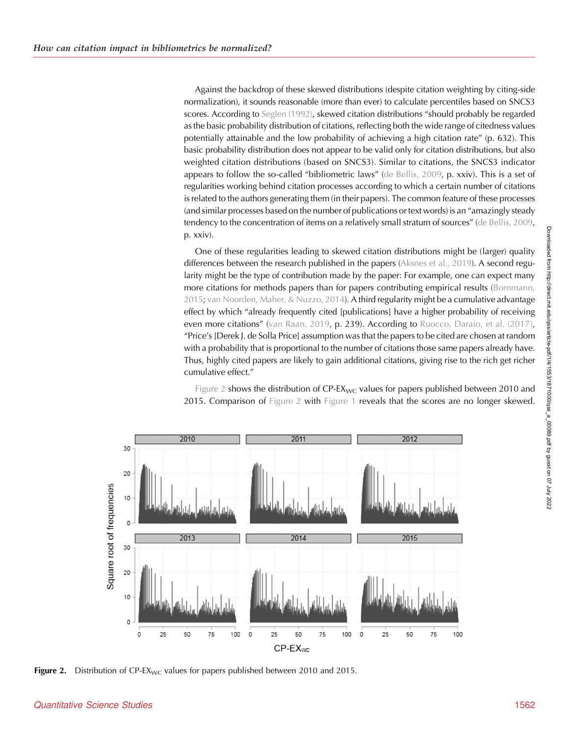Against the backdrop of these skewed distributions (despite citation weighting by citing-side normalization), it sounds reasonable (more than ever) to calculate percentiles based on SNCS3 scores. According to [Seglen \(1992\)](#page-15-0), skewed citation distributions "should probably be regarded as the basic probability distribution of citations, reflecting both the wide range of citedness values potentially attainable and the low probability of achieving a high citation rate" (p. 632). This basic probability distribution does not appear to be valid only for citation distributions, but also weighted citation distributions (based on SNCS3). Similar to citations, the SNCS3 indicator appears to follow the so-called "bibliometric laws" [\(de Bellis, 2009](#page-14-0), p. xxiv). This is a set of regularities working behind citation processes according to which a certain number of citations is related to the authors generating them (in their papers). The common feature of these processes (and similar processes based on the number of publications or text words) is an "amazingly steady tendency to the concentration of items on a relatively small stratum of sources" [\(de Bellis, 2009](#page-14-0), p. xxiv).

One of these regularities leading to skewed citation distributions might be (larger) quality differences between the research published in the papers [\(Aksnes et al., 2019](#page-13-0)). A second regularity might be the type of contribution made by the paper: For example, one can expect many more citations for methods papers than for papers contributing empirical results ([Bornmann,](#page-13-0) [2015;](#page-13-0) [van Noorden, Maher, & Nuzzo, 2014\)](#page-15-0). A third regularity might be a cumulative advantage effect by which "already frequently cited [publications] have a higher probability of receiving even more citations" [\(van Raan, 2019,](#page-15-0) p. 239). According to [Ruocco, Daraio, et al. \(2017\)](#page-15-0), "Price's [Derek J. de Solla Price] assumption was that the papers to be cited are chosen at random with a probability that is proportional to the number of citations those same papers already have. Thus, highly cited papers are likely to gain additional citations, giving rise to the rich get richer cumulative effect."



Figure 2 shows the distribution of  $CP\text{-}EX_{\text{WC}}$  values for papers published between 2010 and 2015. Comparison of Figure 2 with [Figure 1](#page-8-0) reveals that the scores are no longer skewed.

Figure 2. Distribution of  $CP$ -EX<sub>WC</sub> values for papers published between 2010 and 2015.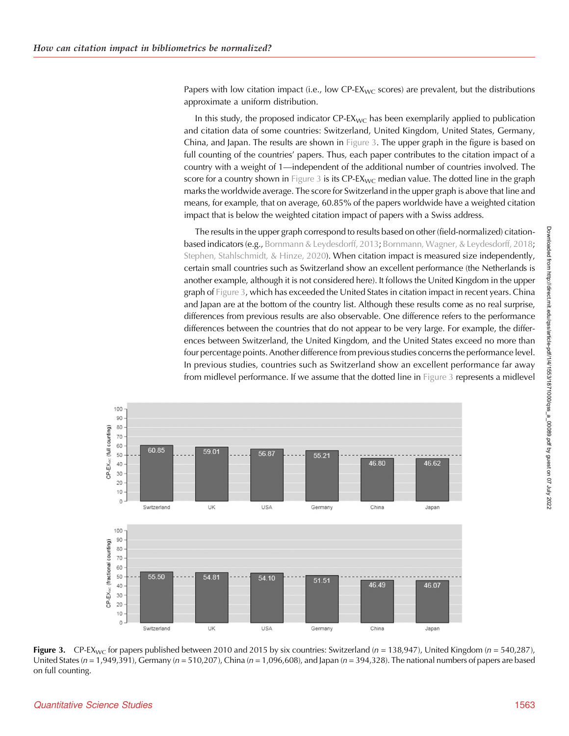<span id="page-10-0"></span>Papers with low citation impact (i.e., low CP- $EX_{WC}$  scores) are prevalent, but the distributions approximate a uniform distribution.

In this study, the proposed indicator  $\text{CP-EX}_{\text{WC}}$  has been exemplarily applied to publication and citation data of some countries: Switzerland, United Kingdom, United States, Germany, China, and Japan. The results are shown in Figure 3. The upper graph in the figure is based on full counting of the countries' papers. Thus, each paper contributes to the citation impact of a country with a weight of 1—independent of the additional number of countries involved. The score for a country shown in Figure 3 is its CP-EX<sub>WC</sub> median value. The dotted line in the graph marks the worldwide average. The score for Switzerland in the upper graph is above that line and means, for example, that on average, 60.85% of the papers worldwide have a weighted citation impact that is below the weighted citation impact of papers with a Swiss address.

The results in the upper graph correspond to results based on other (field-normalized) citationbased indicators (e.g., [Bornmann & Leydesdorff, 2013;](#page-13-0) [Bornmann, Wagner, & Leydesdorff, 2018](#page-14-0); [Stephen, Stahlschmidt, & Hinze, 2020\)](#page-15-0). When citation impact is measured size independently, certain small countries such as Switzerland show an excellent performance (the Netherlands is another example, although it is not considered here). It follows the United Kingdom in the upper graph of Figure 3, which has exceeded the United States in citation impact in recent years. China and Japan are at the bottom of the country list. Although these results come as no real surprise, differences from previous results are also observable. One difference refers to the performance differences between the countries that do not appear to be very large. For example, the differences between Switzerland, the United Kingdom, and the United States exceed no more than four percentage points. Another difference from previous studies concerns the performance level. In previous studies, countries such as Switzerland show an excellent performance far away from midlevel performance. If we assume that the dotted line in Figure 3 represents a midlevel



Figure 3. CP-EX<sub>WC</sub> for papers published between 2010 and 2015 by six countries: Switzerland ( $n = 138,947$ ), United Kingdom ( $n = 540,287$ ), United States ( $n = 1,949,391$ ), Germany ( $n = 510,207$ ), China ( $n = 1,096,608$ ), and Japan ( $n = 394,328$ ). The national numbers of papers are based on full counting.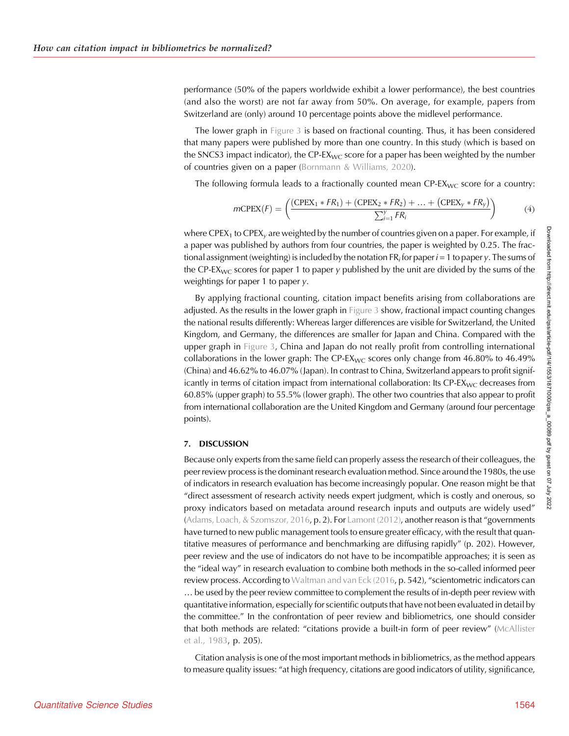performance (50% of the papers worldwide exhibit a lower performance), the best countries (and also the worst) are not far away from 50%. On average, for example, papers from Switzerland are (only) around 10 percentage points above the midlevel performance.

The lower graph in [Figure 3](#page-10-0) is based on fractional counting. Thus, it has been considered that many papers were published by more than one country. In this study (which is based on the SNCS3 impact indicator), the CP-EX<sub>WC</sub> score for a paper has been weighted by the number of countries given on a paper [\(Bornmann & Williams, 2020](#page-14-0)).

The following formula leads to a fractionally counted mean  $\text{CP-}\text{EX}_{\text{WC}}$  score for a country:

$$
mCPEX(F) = \left(\frac{(CPEX_1 * FR_1) + (CPEX_2 * FR_2) + \dots + (CPEX_y * FR_y)}{\sum_{i=1}^{y} FR_i}\right)
$$
(4)

where CPEX<sub>1</sub> to CPEX<sub>v</sub> are weighted by the number of countries given on a paper. For example, if a paper was published by authors from four countries, the paper is weighted by 0.25. The fractional assignment (weighting) is included by the notation FR<sub>i</sub> for paper  $i = 1$  to paper y. The sums of the CP-EX<sub>WC</sub> scores for paper 1 to paper y published by the unit are divided by the sums of the weightings for paper 1 to paper y.

By applying fractional counting, citation impact benefits arising from collaborations are adjusted. As the results in the lower graph in [Figure 3](#page-10-0) show, fractional impact counting changes the national results differently: Whereas larger differences are visible for Switzerland, the United Kingdom, and Germany, the differences are smaller for Japan and China. Compared with the upper graph in [Figure 3](#page-10-0), China and Japan do not really profit from controlling international collaborations in the lower graph: The CP-EX<sub>WC</sub> scores only change from  $46.80\%$  to  $46.49\%$ (China) and 46.62% to 46.07% (Japan). In contrast to China, Switzerland appears to profit significantly in terms of citation impact from international collaboration: Its  $CP$ -E $X_{WC}$  decreases from 60.85% (upper graph) to 55.5% (lower graph). The other two countries that also appear to profit from international collaboration are the United Kingdom and Germany (around four percentage points).

#### 7. DISCUSSION

Because only experts from the same field can properly assess the research of their colleagues, the peer review process is the dominant research evaluation method. Since around the 1980s, the use of indicators in research evaluation has become increasingly popular. One reason might be that "direct assessment of research activity needs expert judgment, which is costly and onerous, so proxy indicators based on metadata around research inputs and outputs are widely used" ([Adams, Loach, & Szomszor, 2016](#page-13-0), p. 2). For [Lamont \(2012\)](#page-14-0), another reason is that "governments have turned to new public management tools to ensure greater efficacy, with the result that quantitative measures of performance and benchmarking are diffusing rapidly" (p. 202). However, peer review and the use of indicators do not have to be incompatible approaches; it is seen as the "ideal way" in research evaluation to combine both methods in the so-called informed peer review process. According to [Waltman and van Eck \(2016,](#page-15-0) p. 542), "scientometric indicators can … be used by the peer review committee to complement the results of in-depth peer review with quantitative information, especially for scientific outputs that have not been evaluated in detail by the committee." In the confrontation of peer review and bibliometrics, one should consider that both methods are related: "citations provide a built-in form of peer review" ([McAllister](#page-14-0) [et al., 1983](#page-14-0), p. 205).

Citation analysis is one of the most important methods in bibliometrics, as the method appears to measure quality issues: "at high frequency, citations are good indicators of utility, significance,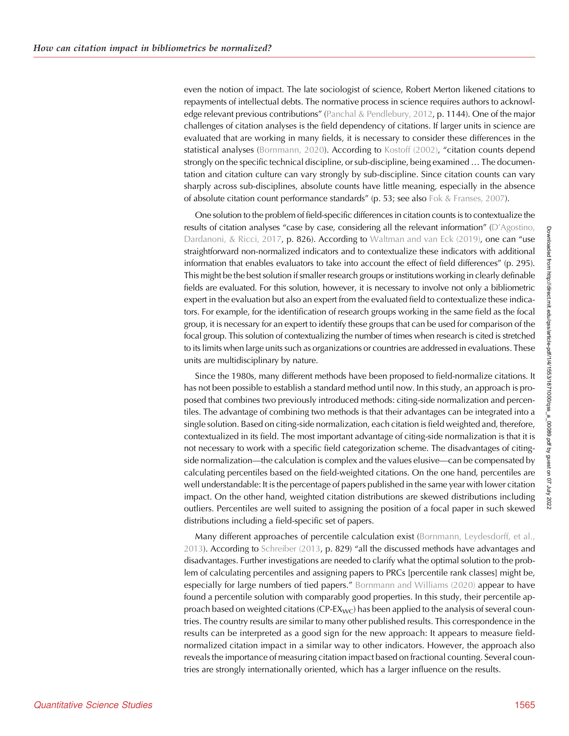even the notion of impact. The late sociologist of science, Robert Merton likened citations to repayments of intellectual debts. The normative process in science requires authors to acknowledge relevant previous contributions" [\(Panchal & Pendlebury, 2012,](#page-15-0) p. 1144). One of the major challenges of citation analyses is the field dependency of citations. If larger units in science are evaluated that are working in many fields, it is necessary to consider these differences in the statistical analyses [\(Bornmann, 2020\)](#page-13-0). According to [Kostoff \(2002\)](#page-14-0), "citation counts depend strongly on the specific technical discipline, or sub-discipline, being examined … The documentation and citation culture can vary strongly by sub-discipline. Since citation counts can vary sharply across sub-disciplines, absolute counts have little meaning, especially in the absence of absolute citation count performance standards" (p. 53; see also [Fok & Franses, 2007](#page-14-0)).

One solution to the problem of field-specific differences in citation counts is to contextualize the results of citation analyses "case by case, considering all the relevant information" (D'[Agostino,](#page-14-0) [Dardanoni, & Ricci, 2017](#page-14-0), p. 826). According to [Waltman and van Eck \(2019\)](#page-15-0), one can "use straightforward non-normalized indicators and to contextualize these indicators with additional information that enables evaluators to take into account the effect of field differences" (p. 295). This might be the best solution if smaller research groups or institutions working in clearly definable fields are evaluated. For this solution, however, it is necessary to involve not only a bibliometric expert in the evaluation but also an expert from the evaluated field to contextualize these indicators. For example, for the identification of research groups working in the same field as the focal group, it is necessary for an expert to identify these groups that can be used for comparison of the focal group. This solution of contextualizing the number of times when research is cited is stretched to its limits when large units such as organizations or countries are addressed in evaluations. These units are multidisciplinary by nature.

Since the 1980s, many different methods have been proposed to field-normalize citations. It has not been possible to establish a standard method until now. In this study, an approach is proposed that combines two previously introduced methods: citing-side normalization and percentiles. The advantage of combining two methods is that their advantages can be integrated into a single solution. Based on citing-side normalization, each citation is field weighted and, therefore, contextualized in its field. The most important advantage of citing-side normalization is that it is not necessary to work with a specific field categorization scheme. The disadvantages of citingside normalization—the calculation is complex and the values elusive—can be compensated by calculating percentiles based on the field-weighted citations. On the one hand, percentiles are well understandable: It is the percentage of papers published in the same year with lower citation impact. On the other hand, weighted citation distributions are skewed distributions including outliers. Percentiles are well suited to assigning the position of a focal paper in such skewed distributions including a field-specific set of papers.

Many different approaches of percentile calculation exist [\(Bornmann, Leydesdorff, et al.,](#page-13-0) [2013\)](#page-13-0). According to [Schreiber \(2013,](#page-15-0) p. 829) "all the discussed methods have advantages and disadvantages. Further investigations are needed to clarify what the optimal solution to the problem of calculating percentiles and assigning papers to PRCs [percentile rank classes] might be, especially for large numbers of tied papers." [Bornmann and Williams \(2020\)](#page-14-0) appear to have found a percentile solution with comparably good properties. In this study, their percentile approach based on weighted citations ( $CP$ -E $X_{WC}$ ) has been applied to the analysis of several countries. The country results are similar to many other published results. This correspondence in the results can be interpreted as a good sign for the new approach: It appears to measure fieldnormalized citation impact in a similar way to other indicators. However, the approach also reveals the importance of measuring citation impact based on fractional counting. Several countries are strongly internationally oriented, which has a larger influence on the results.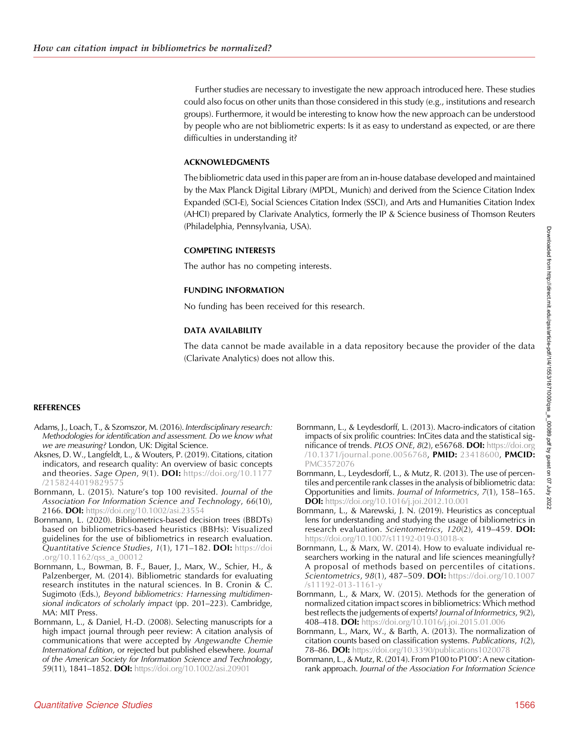<span id="page-13-0"></span>Further studies are necessary to investigate the new approach introduced here. These studies could also focus on other units than those considered in this study (e.g., institutions and research groups). Furthermore, it would be interesting to know how the new approach can be understood by people who are not bibliometric experts: Is it as easy to understand as expected, or are there difficulties in understanding it?

#### ACKNOWLEDGMENTS

The bibliometric data used in this paper are from an in-house database developed and maintained by the Max Planck Digital Library (MPDL, Munich) and derived from the Science Citation Index Expanded (SCI-E), Social Sciences Citation Index (SSCI), and Arts and Humanities Citation Index (AHCI) prepared by Clarivate Analytics, formerly the IP & Science business of Thomson Reuters (Philadelphia, Pennsylvania, USA).

## COMPETING INTERESTS

The author has no competing interests.

## FUNDING INFORMATION

No funding has been received for this research.

## DATA AVAILABILITY

The data cannot be made available in a data repository because the provider of the data (Clarivate Analytics) does not allow this.

## REFERENCES

- Adams, J., Loach, T., & Szomszor, M. (2016). Interdisciplinary research: Methodologies for identification and assessment. Do we know what we are measuring? London, UK: Digital Science.
- Aksnes, D. W., Langfeldt, L., & Wouters, P. (2019). Citations, citation indicators, and research quality: An overview of basic concepts and theories. Sage Open, 9(1). DOI: [https://doi.org/10.1177](https://doi.org/10.1177/2158244019829575) [/2158244019829575](https://doi.org/10.1177/2158244019829575)
- Bornmann, L. (2015). Nature's top 100 revisited. Journal of the Association For Information Science and Technology, 66(10), 2166. DOI: <https://doi.org/10.1002/asi.23554>
- Bornmann, L. (2020). Bibliometrics-based decision trees (BBDTs) based on bibliometrics-based heuristics (BBHs): Visualized guidelines for the use of bibliometrics in research evaluation. Quantitative Science Studies, 1(1), 171–182. DOI: [https://doi](https://doi.org/10.1162/qss_a_00012) [.org/10.1162/qss\\_a\\_00012](https://doi.org/10.1162/qss_a_00012)
- Bornmann, L., Bowman, B. F., Bauer, J., Marx, W., Schier, H., & Palzenberger, M. (2014). Bibliometric standards for evaluating research institutes in the natural sciences. In B. Cronin & C. Sugimoto (Eds.), Beyond bibliometrics: Harnessing multidimensional indicators of scholarly impact (pp. 201–223). Cambridge, MA: MIT Press.
- Bornmann, L., & Daniel, H.-D. (2008). Selecting manuscripts for a high impact journal through peer review: A citation analysis of communications that were accepted by Angewandte Chemie International Edition, or rejected but published elsewhere. Journal of the American Society for Information Science and Technology, 59(11), 1841–1852. DOI: <https://doi.org/10.1002/asi.20901>
- Bornmann, L., & Leydesdorff, L. (2013). Macro-indicators of citation impacts of six prolific countries: InCites data and the statistical significance of trends. PLOS ONE, 8(2), e56768. DOI: [https://doi.org](https://doi.org/10.1371/journal.pone.0056768) [/10.1371/journal.pone.0056768](https://doi.org/10.1371/journal.pone.0056768), PMID: [23418600,](https://europepmc.org/article/MED/23418600) PMCID: [PMC3572076](https://www.ncbi.nlm.nih.gov/pmc/articles/PMC3572076)
- Bornmann, L., Leydesdorff, L., & Mutz, R. (2013). The use of percentiles and percentile rank classes in the analysis of bibliometric data: Opportunities and limits. Journal of Informetrics, 7(1), 158–165. DOI: <https://doi.org/10.1016/j.joi.2012.10.001>
- Bornmann, L., & Marewski, J. N. (2019). Heuristics as conceptual lens for understanding and studying the usage of bibliometrics in research evaluation. Scientometrics, 120(2), 419–459. DOI: <https://doi.org/10.1007/s11192-019-03018-x>
- Bornmann, L., & Marx, W. (2014). How to evaluate individual researchers working in the natural and life sciences meaningfully? A proposal of methods based on percentiles of citations. Scientometrics, 98(1), 487-509. DOI: [https://doi.org/10.1007](https://doi.org/10.1007/s11192-013-1161-y) [/s11192-013-1161-y](https://doi.org/10.1007/s11192-013-1161-y)
- Bornmann, L., & Marx, W. (2015). Methods for the generation of normalized citation impact scores in bibliometrics: Which method best reflects the judgements of experts? Journal of Informetrics, 9(2), 408-418. DOI: <https://doi.org/10.1016/j.joi.2015.01.006>
- Bornmann, L., Marx, W., & Barth, A. (2013). The normalization of citation counts based on classification systems. Publications, 1(2), 78–86. DOI: <https://doi.org/10.3390/publications1020078>
- Bornmann, L., & Mutz, R. (2014). From P100 to P100': A new citationrank approach. Journal of the Association For Information Science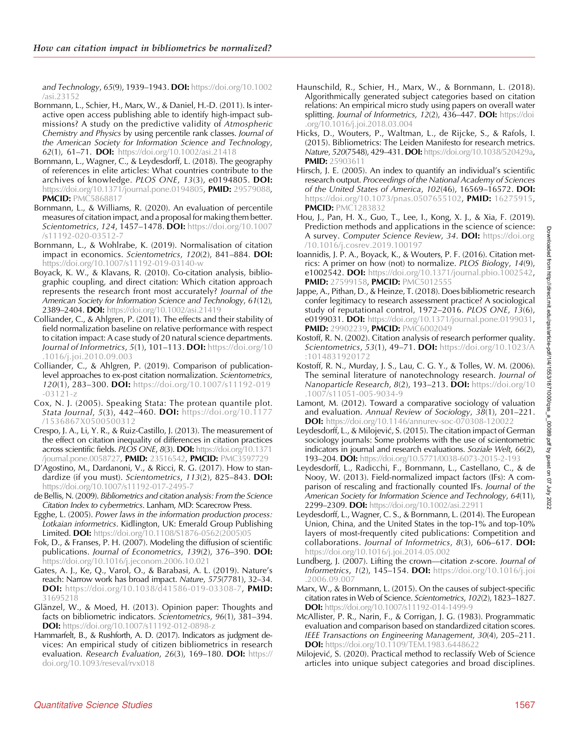<span id="page-14-0"></span>and Technology, 65(9), 1939-1943. DOI: [https://doi.org/10.1002](https://doi.org/10.1002/asi.23152) [/asi.23152](https://doi.org/10.1002/asi.23152)

- Bornmann, L., Schier, H., Marx, W., & Daniel, H.-D. (2011). Is interactive open access publishing able to identify high-impact submissions? A study on the predictive validity of Atmospheric Chemistry and Physics by using percentile rank classes. Journal of the American Society for Information Science and Technology, 62(1), 61–71. DOI: <https://doi.org/10.1002/asi.21418>
- Bornmann, L., Wagner, C., & Leydesdorff, L. (2018). The geography of references in elite articles: What countries contribute to the archives of knowledge. PLOS ONE, 13(3), e0194805. DOI: [https://doi.org/10.1371/journal.pone.0194805,](https://doi.org/10.1371/journal.pone.0194805) PMID: [29579088,](https://europepmc.org/article/MED/29579088) **PMCID: [PMC5868817](https://www.ncbi.nlm.nih.gov/pmc/articles/PMC5868817)**
- Bornmann, L., & Williams, R. (2020). An evaluation of percentile measures of citation impact, and a proposal for making them better. Scientometrics, 124, 1457-1478. DOI: [https://doi.org/10.1007](https://doi.org/10.1007/s11192-020-03512-7) [/s11192-020-03512-7](https://doi.org/10.1007/s11192-020-03512-7)
- Bornmann, L., & Wohlrabe, K. (2019). Normalisation of citation impact in economics. Scientometrics, 120(2), 841-884. DOI: <https://doi.org/10.1007/s11192-019-03140-w>
- Boyack, K. W., & Klavans, R. (2010). Co-citation analysis, bibliographic coupling, and direct citation: Which citation approach represents the research front most accurately? Journal of the American Society for Information Science and Technology, 61(12), 2389-2404. DOI: <https://doi.org/10.1002/asi.21419>
- Colliander, C., & Ahlgren, P. (2011). The effects and their stability of field normalization baseline on relative performance with respect to citation impact: A case study of 20 natural science departments. Journal of Informetrics, 5(1), 101-113. DOI: [https://doi.org/10](https://doi.org/10.1016/j.joi.2010.09.003) [.1016/j.joi.2010.09.003](https://doi.org/10.1016/j.joi.2010.09.003)
- Colliander, C., & Ahlgren, P. (2019). Comparison of publicationlevel approaches to ex-post citation normalization. Scientometrics, 120(1), 283–300. DOI: [https://doi.org/10.1007/s11192-019](https://doi.org/10.1007/s11192-019-03121-z) [-03121-z](https://doi.org/10.1007/s11192-019-03121-z)
- Cox, N. J. (2005). Speaking Stata: The protean quantile plot. Stata Journal, 5(3), 442–460. DOI: [https://doi.org/10.1177](https://doi.org/10.1177/1536867X0500500312) [/1536867X0500500312](https://doi.org/10.1177/1536867X0500500312)
- Crespo, J. A., Li, Y. R., & Ruiz-Castillo, J. (2013). The measurement of the effect on citation inequality of differences in citation practices across scientific fields. PLOS ONE, 8(3). DOI: [https://doi.org/10.1371](https://doi.org/10.1371/journal.pone.0058727) [/journal.pone.0058727](https://doi.org/10.1371/journal.pone.0058727), PMID: [23516542,](https://europepmc.org/article/MED/23516542) PMCID: [PMC3597729](https://www.ncbi.nlm.nih.gov/pmc/articles/PMC3597729)
- D'Agostino, M., Dardanoni, V., & Ricci, R. G. (2017). How to standardize (if you must). Scientometrics,  $113(2)$ ,  $825-843$ . **DOI:** <https://doi.org/10.1007/s11192-017-2495-7>
- de Bellis, N. (2009). Bibliometrics and citation analysis: From the Science Citation Index to cybermetrics. Lanham, MD: Scarecrow Press.
- Egghe, L. (2005). Power laws in the information production process: Lotkaian informetrics. Kidlington, UK: Emerald Group Publishing **Limited. DOI:** [https://doi.org/10.1108/S1876-0562\(2005\)05](https://doi.org/10.1108/S1876-0562(2005)05)
- Fok, D., & Franses, P. H. (2007). Modeling the diffusion of scientific publications. Journal of Econometrics, 139(2), 376-390. DOI: <https://doi.org/10.1016/j.jeconom.2006.10.021>
- Gates, A. J., Ke, Q., Varol, O., & Barabasi, A. L. (2019). Nature's reach: Narrow work has broad impact. Nature, 575(7781), 32–34. DOI: <https://doi.org/10.1038/d41586-019-03308-7>, PMID: [31695218](https://europepmc.org/article/MED/31695218)
- Glänzel, W., & Moed, H. (2013). Opinion paper: Thoughts and facts on bibliometric indicators. Scientometrics, 96(1), 381–394. DOI: <https://doi.org/10.1007/s11192-012-0898-z>
- Hammarfelt, B., & Rushforth, A. D. (2017). Indicators as judgment devices: An empirical study of citizen bibliometrics in research evaluation. Research Evaluation, 26(3), 169–180. DOI: [https://](https://doi.org/10.1093/reseval/rvx018) [doi.org/10.1093/reseval/rvx018](https://doi.org/10.1093/reseval/rvx018)
- Haunschild, R., Schier, H., Marx, W., & Bornmann, L. (2018). Algorithmically generated subject categories based on citation relations: An empirical micro study using papers on overall water splitting. Journal of Informetrics, 12(2), 436-447. DOI: [https://doi](https://doi.org/10.1016/j.joi.2018.03.004) [.org/10.1016/j.joi.2018.03.004](https://doi.org/10.1016/j.joi.2018.03.004)
- Hicks, D., Wouters, P., Waltman, L., de Rijcke, S., & Rafols, I. (2015). Bibliometrics: The Leiden Manifesto for research metrics. Nature, 520(7548), 429-431. DOI: [https://doi.org/10.1038/520429a,](https://doi.org/10.1038/520429a) PMID: [25903611](https://europepmc.org/article/MED/25903611)
- Hirsch, J. E. (2005). An index to quantify an individual's scientific research output. Proceedings of the National Academy of Sciences of the United States of America, 102(46), 16569–16572. DOI: [https://doi.org/10.1073/pnas.0507655102,](https://doi.org/10.1073/pnas.0507655102) PMID: [16275915,](https://europepmc.org/article/MED/16275915) **PMCID: [PMC1283832](https://www.ncbi.nlm.nih.gov/pmc/articles/PMC1283832)**
- Hou, J., Pan, H. X., Guo, T., Lee, I., Kong, X. J., & Xia, F. (2019). Prediction methods and applications in the science of science: A survey. Computer Science Review, 34. DOI: [https://doi.org](https://doi.org/10.1016/j.cosrev.2019.100197) [/10.1016/j.cosrev.2019.100197](https://doi.org/10.1016/j.cosrev.2019.100197)
- Ioannidis, J. P. A., Boyack, K., & Wouters, P. F. (2016). Citation metrics: A primer on how (not) to normalize. PLOS Biology, 14(9), e1002542. DOI: [https://doi.org/10.1371/journal.pbio.1002542,](https://doi.org/10.1371/journal.pbio.1002542) PMID: [27599158](https://europepmc.org/article/MED/27599158), PMCID: [PMC5012555](https://www.ncbi.nlm.nih.gov/pmc/articles/PMC5012555)
- Jappe, A., Pithan, D., & Heinze, T. (2018). Does bibliometric research confer legitimacy to research assessment practice? A sociological study of reputational control, 1972–2016. PLOS ONE, 13(6), e0199031. DOI: [https://doi.org/10.1371/journal.pone.0199031,](https://doi.org/10.1371/journal.pone.0199031) PMID: [29902239](https://europepmc.org/article/MED/29902239), PMCID: [PMC6002049](https://www.ncbi.nlm.nih.gov/pmc/articles/PMC6002049)
- Kostoff, R. N. (2002). Citation analysis of research performer quality. Scientometrics, 53(1), 49-71. DOI: [https://doi.org/10.1023/A](https://doi.org/10.1023/A:1014831920172) [:1014831920172](https://doi.org/10.1023/A:1014831920172)
- Kostoff, R. N., Murday, J. S., Lau, C. G. Y., & Tolles, W. M. (2006). The seminal literature of nanotechnology research. Journal of Nanoparticle Research, 8(2), 193–213. **DOI:** [https://doi.org/10](https://doi.org/10.1007/s11051-005-9034-9) [.1007/s11051-005-9034-9](https://doi.org/10.1007/s11051-005-9034-9)
- Lamont, M. (2012). Toward a comparative sociology of valuation and evaluation. Annual Review of Sociology, 38(1), 201–221. **DOI:** <https://doi.org/10.1146/annurev-soc-070308-120022>
- Leydesdorff, L., & Milojević, S. (2015). The citation impact of German sociology journals: Some problems with the use of scientometric indicators in journal and research evaluations. Soziale Welt, 66(2), 193–204. **DOI:** <https://doi.org/10.5771/0038-6073-2015-2-193>
- Leydesdorff, L., Radicchi, F., Bornmann, L., Castellano, C., & de Nooy, W. (2013). Field-normalized impact factors (IFs): A comparison of rescaling and fractionally counted IFs. Journal of the American Society for Information Science and Technology, 64(11), 2299-2309. DOI: <https://doi.org/10.1002/asi.22911>
- Leydesdorff, L., Wagner, C. S., & Bornmann, L. (2014). The European Union, China, and the United States in the top-1% and top-10% layers of most-frequently cited publications: Competition and collaborations. Journal of Informetrics, 8(3), 606–617. DOI: <https://doi.org/10.1016/j.joi.2014.05.002>
- Lundberg, J. (2007). Lifting the crown—citation z-score. Journal of Informetrics, 1(2), 145–154. DOI: [https://doi.org/10.1016/j.joi](https://doi.org/10.1016/j.joi.2006.09.007) [.2006.09.007](https://doi.org/10.1016/j.joi.2006.09.007)
- Marx, W., & Bornmann, L. (2015). On the causes of subject-specific citation rates in Web of Science. Scientometrics, 102(2), 1823–1827. **DOI:** <https://doi.org/10.1007/s11192-014-1499-9>
- McAllister, P. R., Narin, F., & Corrigan, J. G. (1983). Programmatic evaluation and comparison based on standardized citation scores. IEEE Transactions on Engineering Management, 30(4), 205–211. DOI: <https://doi.org/10.1109/TEM.1983.6448622>
- Milojevic, S. (2020). Practical method to reclassify Web of Science articles into unique subject categories and broad disciplines.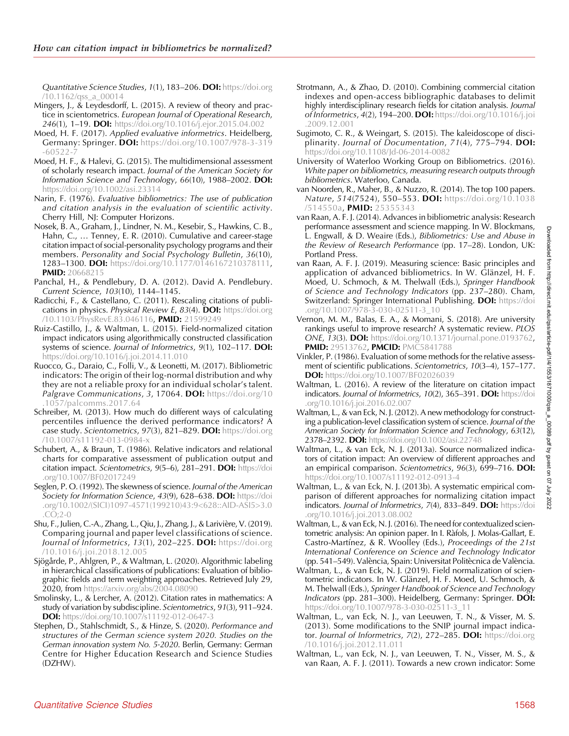<span id="page-15-0"></span>Quantitative Science Studies, 1(1), 183–206. DOI: [https://doi.org](https://doi.org/10.1162/qss_a_00014) [/10.1162/qss\\_a\\_00014](https://doi.org/10.1162/qss_a_00014)

- Mingers, J., & Leydesdorff, L. (2015). A review of theory and practice in scientometrics. European Journal of Operational Research, 246(1), 1–19. DOI: <https://doi.org/10.1016/j.ejor.2015.04.002>
- Moed, H. F. (2017). Applied evaluative informetrics. Heidelberg, Germany: Springer. DOI: [https://doi.org/10.1007/978-3-319](https://doi.org/10.1007/978-3-319-60522-7) [-60522-7](https://doi.org/10.1007/978-3-319-60522-7)
- Moed, H. F., & Halevi, G. (2015). The multidimensional assessment of scholarly research impact. Journal of the American Society for Information Science and Technology, 66(10), 1988–2002. DOI: <https://doi.org/10.1002/asi.23314>
- Narin, F. (1976). Evaluative bibliometrics: The use of publication and citation analysis in the evaluation of scientific activity. Cherry Hill, NJ: Computer Horizons.
- Nosek, B. A., Graham, J., Lindner, N. M., Kesebir, S., Hawkins, C. B., Hahn, C., … Tenney, E. R. (2010). Cumulative and career-stage citation impact of social-personality psychology programs and their members. Personality and Social Psychology Bulletin, 36(10), 1283–1300. DOI: [https://doi.org/10.1177/0146167210378111,](https://doi.org/10.1177/0146167210378111) **PMID:** [20668215](https://europepmc.org/article/MED/20668215)
- Panchal, H., & Pendlebury, D. A. (2012). David A. Pendlebury. Current Science, 103(10), 1144–1145.
- Radicchi, F., & Castellano, C. (2011). Rescaling citations of publications in physics. Physical Review E, 83(4). DOI: [https://doi.org](https://doi.org/10.1103/PhysRevE.83.046116) [/10.1103/PhysRevE.83.046116,](https://doi.org/10.1103/PhysRevE.83.046116) PMID: [21599249](https://europepmc.org/article/MED/21599249)
- Ruiz-Castillo, J., & Waltman, L. (2015). Field-normalized citation impact indicators using algorithmically constructed classification systems of science. Journal of Informetrics, 9(1), 102-117. DOI: <https://doi.org/10.1016/j.joi.2014.11.010>
- Ruocco, G., Daraio, C., Folli, V., & Leonetti, M. (2017). Bibliometric indicators: The origin of their log-normal distribution and why they are not a reliable proxy for an individual scholar's talent. Palgrave Communications, 3, 17064. DOI: [https://doi.org/10](https://doi.org/10.1057/palcomms.2017.64) [.1057/palcomms.2017.64](https://doi.org/10.1057/palcomms.2017.64)
- Schreiber, M. (2013). How much do different ways of calculating percentiles influence the derived performance indicators? A case study. Scientometrics, 97(3), 821-829. DOI: [https://doi.org](https://doi.org/10.1007/s11192-013-0984-x) [/10.1007/s11192-013-0984-x](https://doi.org/10.1007/s11192-013-0984-x)
- Schubert, A., & Braun, T. (1986). Relative indicators and relational charts for comparative assessment of publication output and citation impact. Scientometrics, 9(5-6), 281-291. DOI: [https://doi](https://doi.org/10.1007/BF02017249) [.org/10.1007/BF02017249](https://doi.org/10.1007/BF02017249)
- Seglen, P. O. (1992). The skewness of science. Journal of the American Society for Information Science, 43(9), 628-638. DOI: [https://doi](https://doi.org/10.1002/(SICI)1097-4571(199210)43:9%3c628::AID-ASI5%3e3.0.CO;2-0) [.org/10.1002/\(SICI\)1097-4571\(199210\)43:9<628::AID-ASI5>3.0](https://doi.org/10.1002/(SICI)1097-4571(199210)43:9%3c628::AID-ASI5%3e3.0.CO;2-0) [.CO;2-0](https://doi.org/10.1002/(SICI)1097-4571(199210)43:9%3c628::AID-ASI5%3e3.0.CO;2-0)
- Shu, F., Julien, C.-A., Zhang, L., Qiu, J., Zhang, J., & Larivière, V. (2019). Comparing journal and paper level classifications of science. Journal of Informetrics, 13(1), 202-225. DOI: [https://doi.org](https://doi.org/10.1016/j.joi.2018.12.005) [/10.1016/j.joi.2018.12.005](https://doi.org/10.1016/j.joi.2018.12.005)
- Sjögårde, P., Ahlgren, P., & Waltman, L. (2020). Algorithmic labeling in hierarchical classifications of publications: Evaluation of bibliographic fields and term weighting approaches. Retrieved July 29, 2020, from <https://arxiv.org/abs/2004.08090>
- Smolinsky, L., & Lercher, A. (2012). Citation rates in mathematics: A study of variation by subdiscipline. Scientometrics, 91(3), 911–924. DOI: <https://doi.org/10.1007/s11192-012-0647-3>
- Stephen, D., Stahlschmidt, S., & Hinze, S. (2020). Performance and structures of the German science system 2020. Studies on the German innovation system No. 5-2020. Berlin, Germany: German Centre for Higher Education Research and Science Studies (DZHW).
- Strotmann, A., & Zhao, D. (2010). Combining commercial citation indexes and open-access bibliographic databases to delimit highly interdisciplinary research fields for citation analysis. Journal of Informetrics, 4(2), 194–200. DOI: [https://doi.org/10.1016/j.joi](https://doi.org/10.1016/j.joi.2009.12.001) [.2009.12.001](https://doi.org/10.1016/j.joi.2009.12.001)
- Sugimoto, C. R., & Weingart, S. (2015). The kaleidoscope of disciplinarity. Journal of Documentation, 71(4), 775-794. DOI: <https://doi.org/10.1108/Jd-06-2014-0082>
- University of Waterloo Working Group on Bibliometrics. (2016). White paper on bibliometrics, measuring research outputs through bibliometrics. Waterloo, Canada.
- van Noorden, R., Maher, B., & Nuzzo, R. (2014). The top 100 papers. Nature, 514(7524), 550-553. DOI: [https://doi.org/10.1038](https://doi.org/10.1038/514550a) [/514550a,](https://doi.org/10.1038/514550a) PMID: [25355343](https://europepmc.org/article/MED/25355343)
- van Raan, A. F. J. (2014). Advances in bibliometric analysis: Research performance assessment and science mapping. In W. Blockmans, L. Engwall, & D. Weaire (Eds.), Bibliometrics: Use and Abuse in the Review of Research Performance (pp. 17–28). London, UK: Portland Press.
- van Raan, A. F. J. (2019). Measuring science: Basic principles and application of advanced bibliometrics. In W. Glänzel, H. F. Moed, U. Schmoch, & M. Thelwall (Eds.), Springer Handbook of Science and Technology Indicators (pp. 237–280). Cham, Switzerland: Springer International Publishing. DOI: [https://doi](https://doi.org/10.1007/978-3-030-02511-3_10) [.org/10.1007/978-3-030-02511-3\\_10](https://doi.org/10.1007/978-3-030-02511-3_10)
- Vernon, M. M., Balas, E. A., & Momani, S. (2018). Are university rankings useful to improve research? A systematic review. PLOS ONE, 13(3). DOI: [https://doi.org/10.1371/journal.pone.0193762,](https://doi.org/10.1371/journal.pone.0193762) PMID: [29513762](https://europepmc.org/article/MED/29513762), PMCID: [PMC5841788](https://www.ncbi.nlm.nih.gov/pmc/articles/PMC5841788)
- Vinkler, P. (1986). Evaluation of some methods for the relative assessment of scientific publications. Scientometrics, 10(3–4), 157–177. **DOI:** <https://doi.org/10.1007/BF02026039>
- Waltman, L. (2016). A review of the literature on citation impact indicators. Journal of Informetrics, 10(2), 365-391. DOI: [https://doi](https://doi.org/10.1016/j.joi.2016.02.007) [.org/10.1016/j.joi.2016.02.007](https://doi.org/10.1016/j.joi.2016.02.007)
- Waltman, L., & van Eck, N. J. (2012). A new methodology for constructing a publication-level classification system of science. Journal of the American Society for Information Science and Technology, 63(12), 2378–2392. DOI: <https://doi.org/10.1002/asi.22748>
- Waltman, L., & van Eck, N. J. (2013a). Source normalized indicators of citation impact: An overview of different approaches and an empirical comparison. Scientometrics, 96(3), 699–716. DOI: <https://doi.org/10.1007/s11192-012-0913-4>
- Waltman, L., & van Eck, N. J. (2013b). A systematic empirical comparison of different approaches for normalizing citation impact indicators. Journal of Informetrics, 7(4), 833-849. DOI: [https://doi](https://doi.org/10.1016/j.joi.2013.08.002) [.org/10.1016/j.joi.2013.08.002](https://doi.org/10.1016/j.joi.2013.08.002)
- Waltman, L., & van Eck, N. J. (2016). The need for contextualized scientometric analysis: An opinion paper. In I. Ràfols, J. Molas-Gallart, E. Castro-Martínez, & R. Woolley (Eds.), Proceedings of the 21st International Conference on Science and Technology Indicator (pp. 541–549). València, Spain: Universitat Politècnica de València.
- Waltman, L., & van Eck, N. J. (2019). Field normalization of scientometric indicators. In W. Glänzel, H. F. Moed, U. Schmoch, & M. Thelwall (Eds.), Springer Handbook of Science and Technology Indicators (pp. 281–300). Heidelberg, Germany: Springer. DOI: [https://doi.org/10.1007/978-3-030-02511-3\\_11](https://doi.org/10.1007/978-3-030-02511-3_11)
- Waltman, L., van Eck, N. J., van Leeuwen, T. N., & Visser, M. S. (2013). Some modifications to the SNIP journal impact indicator. Journal of Informetrics, 7(2), 272-285. DOI: [https://doi.org](https://doi.org/10.1016/j.joi.2012.11.011) [/10.1016/j.joi.2012.11.011](https://doi.org/10.1016/j.joi.2012.11.011)
- Waltman, L., van Eck, N. J., van Leeuwen, T. N., Visser, M. S., & van Raan, A. F. J. (2011). Towards a new crown indicator: Some